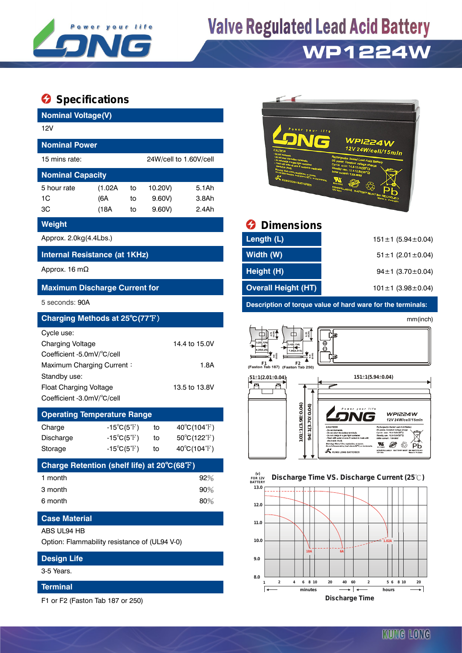

# **Valve Regulated Lead Acid Battery**

## **WP1224W**

### **Specifications**

| <b>Nominal Voltage(V)</b><br>12V              |                            |    |           |                             |                                                                                                                                             | Power your life                                          |                                                                                                                                                                                                                                                                                                            |
|-----------------------------------------------|----------------------------|----|-----------|-----------------------------|---------------------------------------------------------------------------------------------------------------------------------------------|----------------------------------------------------------|------------------------------------------------------------------------------------------------------------------------------------------------------------------------------------------------------------------------------------------------------------------------------------------------------------|
| <b>Nominal Power</b>                          |                            |    |           |                             |                                                                                                                                             |                                                          | <b>WPI224W</b><br>12V 24W/cell/15min                                                                                                                                                                                                                                                                       |
| 15 mins rate:                                 |                            |    |           | 24W/cell to 1.60V/cell      |                                                                                                                                             |                                                          | aled Lead-Acid Battery<br>USO: 14.4-15.01                                                                                                                                                                                                                                                                  |
| <b>Nominal Capacity</b>                       |                            |    |           |                             |                                                                                                                                             | <b>KUNG LONG BATTERIES</b>                               | so: 13.5-13.8V(2                                                                                                                                                                                                                                                                                           |
| 5 hour rate                                   | (1.02A)                    | to | 10.20V)   | 5.1Ah                       |                                                                                                                                             |                                                          |                                                                                                                                                                                                                                                                                                            |
| 1 <sup>C</sup>                                | (6A)                       | to | $9.60V$ ) | 3.8Ah<br>2.4Ah              |                                                                                                                                             |                                                          |                                                                                                                                                                                                                                                                                                            |
| 3C                                            | (18A)                      | to | $9.60V$ ) |                             |                                                                                                                                             |                                                          |                                                                                                                                                                                                                                                                                                            |
| Weight                                        |                            |    |           |                             | Ø                                                                                                                                           | <b>Dimensions</b>                                        |                                                                                                                                                                                                                                                                                                            |
| Approx. 2.0kg(4.4Lbs.)                        |                            |    |           |                             | Length (L)                                                                                                                                  |                                                          | $151 \pm 1$ (5.94 ± 0.04)                                                                                                                                                                                                                                                                                  |
| Internal Resistance (at 1KHz)                 |                            |    |           |                             | Width (W)                                                                                                                                   |                                                          | $51 \pm 1$ (2.01 $\pm$ 0.04)                                                                                                                                                                                                                                                                               |
| Approx. 16 m $\Omega$                         |                            |    |           |                             | Height (H)                                                                                                                                  |                                                          | $94 \pm 1$ (3.70 $\pm$ 0.04)                                                                                                                                                                                                                                                                               |
| <b>Maximum Discharge Current for</b>          |                            |    |           |                             | <b>Overall Height (HT)</b>                                                                                                                  |                                                          | 101±1 (3.98±0.04)                                                                                                                                                                                                                                                                                          |
| 5 seconds: 90A                                |                            |    |           |                             |                                                                                                                                             |                                                          | Description of torque value of hard ware for the terminals:                                                                                                                                                                                                                                                |
| Charging Methods at 25°C(77°F)                |                            |    |           |                             |                                                                                                                                             |                                                          | mm(inch)                                                                                                                                                                                                                                                                                                   |
| Cycle use:                                    |                            |    |           |                             | ◫                                                                                                                                           | $\begin{smallmatrix} 6.35\\ 0.25 \end{smallmatrix}$<br>⊞ | 「司                                                                                                                                                                                                                                                                                                         |
| <b>Charging Voltage</b>                       |                            |    |           | 14.4 to 15.0V               | 35(0.2                                                                                                                                      | 3.4(0.134)                                               | ⊕<br>Θ                                                                                                                                                                                                                                                                                                     |
| Coefficient -5.0mV/°C/cell                    |                            |    |           |                             |                                                                                                                                             |                                                          |                                                                                                                                                                                                                                                                                                            |
| Maximum Charging Current:<br>Standby use:     |                            |    |           | 1.8A                        | $\begin{array}{cc} & \mathsf{F1} & \mathsf{F2} \\ \textsf{(Faston Tab 187)} & \textsf{(Faston Tab 250)} \\ \end{array}$<br>(51±1(2.01±0.04) |                                                          | $151 \pm 1(5.94 \pm 0.04)$                                                                                                                                                                                                                                                                                 |
| <b>Float Charging Voltage</b>                 |                            |    |           | 13.5 to 13.8V               | 冎<br>冎                                                                                                                                      |                                                          |                                                                                                                                                                                                                                                                                                            |
| Coefficient -3.0mV/°C/cell                    |                            |    |           |                             |                                                                                                                                             |                                                          |                                                                                                                                                                                                                                                                                                            |
| <b>Operating Temperature Range</b>            |                            |    |           |                             |                                                                                                                                             | $101\pm1(3.98\pm0.04)$<br>94±1(3.70±0.04)                | WPI224W                                                                                                                                                                                                                                                                                                    |
| Charge                                        | $-15^{\circ}C(5^{\circ}F)$ |    | to        | $40^{\circ}C(104^{\circ}F)$ |                                                                                                                                             |                                                          | 12V 24W/cell/15min<br>CAUTION<br>Rechargeable Seated Lead-Acid Battery<br>DC power, Constant voltage charge<br>- Do not inclnerate<br>Do not short the hattery terminals                                                                                                                                   |
| Discharge                                     | $-15^{\circ}C(5^{\circ}F)$ |    | to        | $50^{\circ}C(122^{\circ}F)$ |                                                                                                                                             |                                                          | Cycle use: 14.4-15.0V(25°C)<br>- Do not charge in a gas tight container.<br>- Flush with water at once if contact is made<br>idby use: 13.5-13.8V(25°C)<br>Initial current : 1.8A MAX<br>electrolyte (Acid).<br>Warning: Risk of fire, explosion, or burns.<br>Do not disassemble, heat above 60°C, or inc |
| Storage                                       | $-15^{\circ}C(5^{\circ}F)$ |    | to        | 40°C(104°F)                 |                                                                                                                                             | $\star$ $\star$                                          | $\sum_{n=1}^{n}$<br>◉<br>- 43<br>Pb<br>NONSPILLABLE BATTERY MUST BE RECYCLED<br>12V 6Ah<br><b>KUNG LONG BATTERIES</b>                                                                                                                                                                                      |
| Charge Retention (shelf life) at 20°C(68°F)   |                            |    |           |                             |                                                                                                                                             |                                                          |                                                                                                                                                                                                                                                                                                            |
| 1 month                                       |                            |    |           | 92%                         | (v)<br>FOR 12V<br><b>BATTERY</b>                                                                                                            |                                                          | Discharge Time VS. Discharge Current (25°C)                                                                                                                                                                                                                                                                |
| 3 month                                       |                            |    |           | 90%                         | 13.0                                                                                                                                        |                                                          |                                                                                                                                                                                                                                                                                                            |
| 6 month                                       |                            |    |           | 80%                         | 12.0                                                                                                                                        |                                                          |                                                                                                                                                                                                                                                                                                            |
| <b>Case Material</b>                          |                            |    |           |                             | 11.0                                                                                                                                        |                                                          |                                                                                                                                                                                                                                                                                                            |
| ABS UL94 HB                                   |                            |    |           |                             |                                                                                                                                             |                                                          |                                                                                                                                                                                                                                                                                                            |
| Option: Flammability resistance of (UL94 V-0) |                            |    |           |                             | 10.0                                                                                                                                        | <b>18A</b>                                               | 6A                                                                                                                                                                                                                                                                                                         |
| <b>Design Life</b>                            |                            |    |           |                             | 9.0                                                                                                                                         |                                                          |                                                                                                                                                                                                                                                                                                            |
| 3-5 Years.                                    |                            |    |           |                             | 8.0                                                                                                                                         |                                                          |                                                                                                                                                                                                                                                                                                            |

#### **Terminal**

F1 or F2 (Faston Tab 187 or 250)



### **Weighthally Dimensions**

| Approx. 2.0kg(4.4Lbs.)               | Length (L)                 | $151 \pm 1$ (5.94 $\pm$ 0.04) |
|--------------------------------------|----------------------------|-------------------------------|
| Internal Resistance (at 1KHz)        | Width (W)                  | $51 \pm 1$ (2.01 $\pm$ 0.04)  |
| Approx. 16 mΩ                        | Height (H)                 | $94 \pm 1$ (3.70 $\pm$ 0.04)  |
| <b>Maximum Discharge Current for</b> | <b>Overall Height (HT)</b> | 101 $\pm$ 1 (3.98 $\pm$ 0.04) |